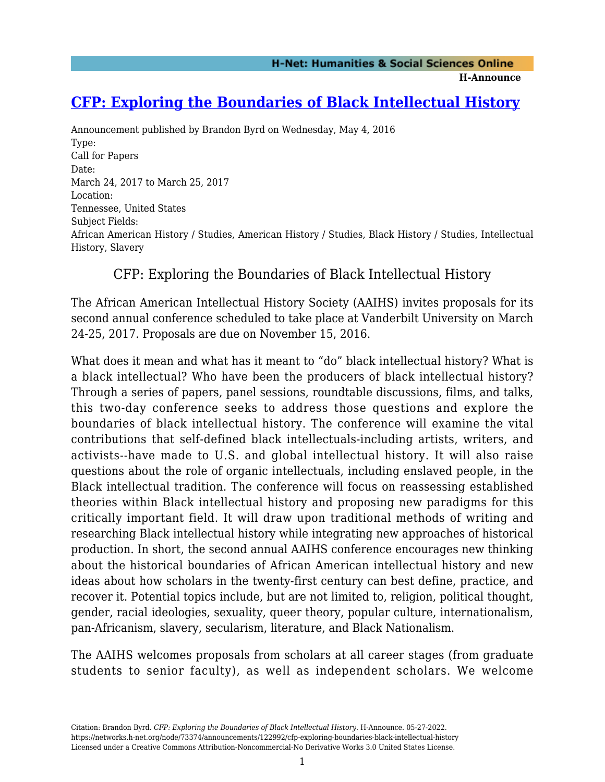**H-Announce** 

## **[CFP: Exploring the Boundaries of Black Intellectual History](https://networks.h-net.org/node/73374/announcements/122992/cfp-exploring-boundaries-black-intellectual-history)**

Announcement published by Brandon Byrd on Wednesday, May 4, 2016 Type: Call for Papers Date: March 24, 2017 to March 25, 2017 Location: Tennessee, United States Subject Fields: African American History / Studies, American History / Studies, Black History / Studies, Intellectual History, Slavery

## CFP: Exploring the Boundaries of Black Intellectual History

The African American Intellectual History Society (AAIHS) invites proposals for its second annual conference scheduled to take place at Vanderbilt University on March 24-25, 2017. Proposals are due on November 15, 2016.

What does it mean and what has it meant to "do" black intellectual history? What is a black intellectual? Who have been the producers of black intellectual history? Through a series of papers, panel sessions, roundtable discussions, films, and talks, this two-day conference seeks to address those questions and explore the boundaries of black intellectual history. The conference will examine the vital contributions that self-defined black intellectuals-including artists, writers, and activists--have made to U.S. and global intellectual history. It will also raise questions about the role of organic intellectuals, including enslaved people, in the Black intellectual tradition. The conference will focus on reassessing established theories within Black intellectual history and proposing new paradigms for this critically important field. It will draw upon traditional methods of writing and researching Black intellectual history while integrating new approaches of historical production. In short, the second annual AAIHS conference encourages new thinking about the historical boundaries of African American intellectual history and new ideas about how scholars in the twenty-first century can best define, practice, and recover it. Potential topics include, but are not limited to, religion, political thought, gender, racial ideologies, sexuality, queer theory, popular culture, internationalism, pan-Africanism, slavery, secularism, literature, and Black Nationalism.

The AAIHS welcomes proposals from scholars at all career stages (from graduate students to senior faculty), as well as independent scholars. We welcome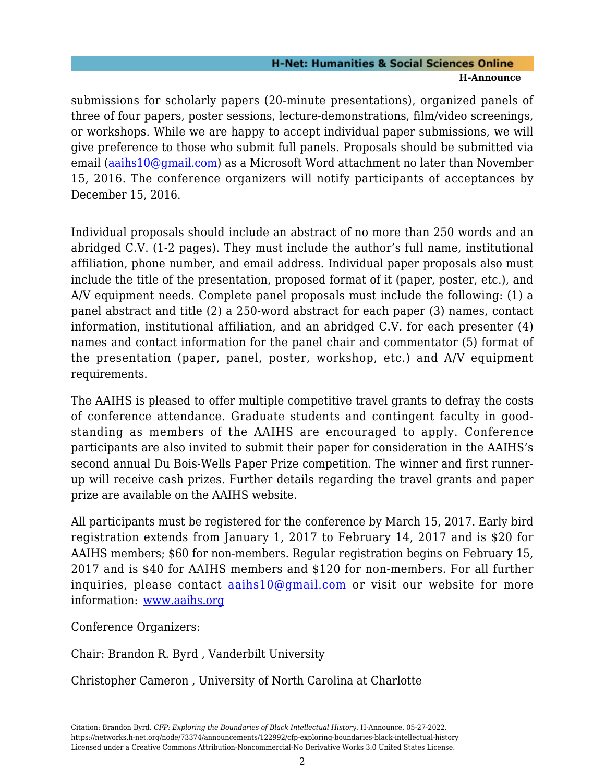## **H-Net: Humanities & Social Sciences Online H-Announce**

submissions for scholarly papers (20-minute presentations), organized panels of three of four papers, poster sessions, lecture-demonstrations, film/video screenings, or workshops. While we are happy to accept individual paper submissions, we will give preference to those who submit full panels. Proposals should be submitted via email ([aaihs10@gmail.com\)](mailto:aaihs10@gmail.com) as a Microsoft Word attachment no later than November 15, 2016. The conference organizers will notify participants of acceptances by December 15, 2016.

Individual proposals should include an abstract of no more than 250 words and an abridged C.V. (1-2 pages). They must include the author's full name, institutional affiliation, phone number, and email address. Individual paper proposals also must include the title of the presentation, proposed format of it (paper, poster, etc.), and A/V equipment needs. Complete panel proposals must include the following: (1) a panel abstract and title (2) a 250-word abstract for each paper (3) names, contact information, institutional affiliation, and an abridged C.V. for each presenter (4) names and contact information for the panel chair and commentator (5) format of the presentation (paper, panel, poster, workshop, etc.) and A/V equipment requirements.

The AAIHS is pleased to offer multiple competitive travel grants to defray the costs of conference attendance. Graduate students and contingent faculty in goodstanding as members of the AAIHS are encouraged to apply. Conference participants are also invited to submit their paper for consideration in the AAIHS's second annual Du Bois-Wells Paper Prize competition. The winner and first runnerup will receive cash prizes. Further details regarding the travel grants and paper prize are available on the AAIHS website.

All participants must be registered for the conference by March 15, 2017. Early bird registration extends from January 1, 2017 to February 14, 2017 and is \$20 for AAIHS members; \$60 for non-members. Regular registration begins on February 15, 2017 and is \$40 for AAIHS members and \$120 for non-members. For all further inquiries, please contact [aaihs10@gmail.com](mailto:aaihs10@gmail.com) or visit our website for more information: [www.aaihs.org](http://www.aaihs.org)

Conference Organizers:

Chair: Brandon R. Byrd , Vanderbilt University

Christopher Cameron , University of North Carolina at Charlotte